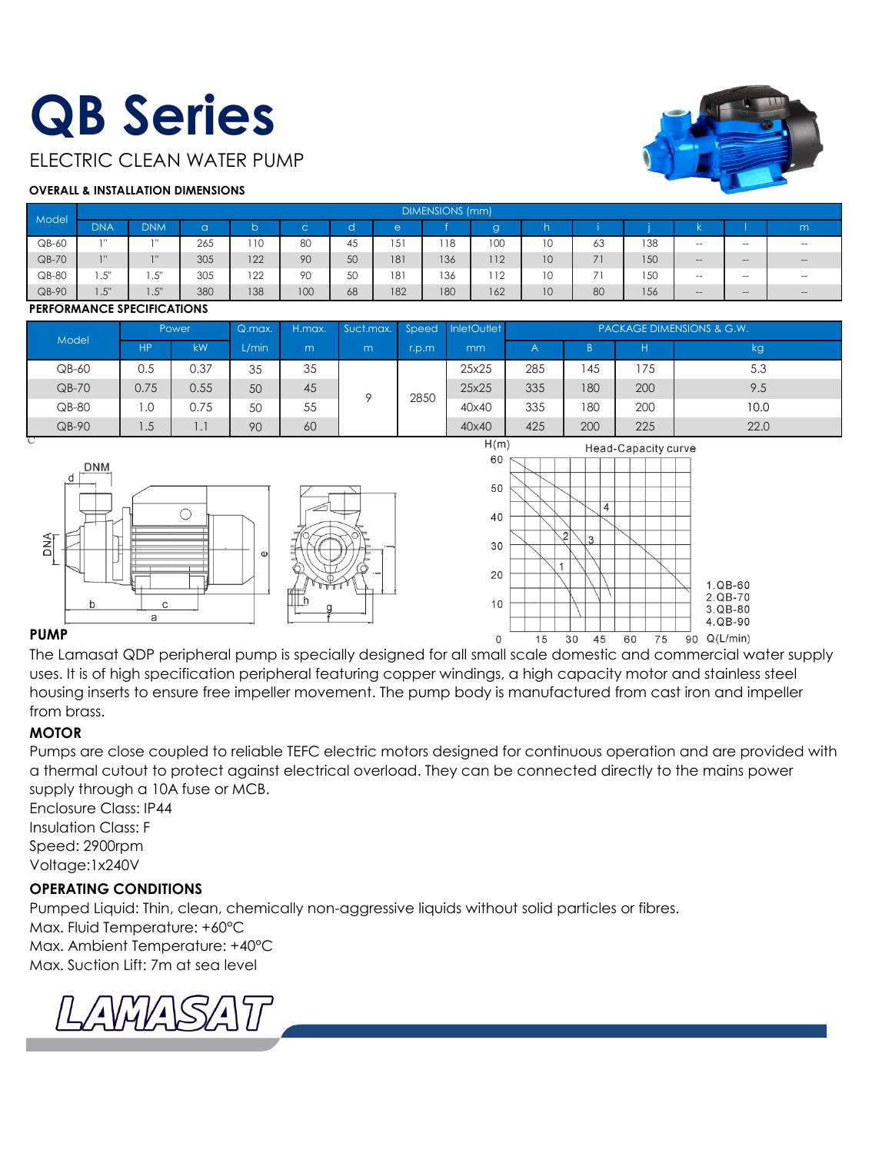## **QB Series**

ELECTRIC CLEAN WATER PUMP

#### **OVERALL & INSTALLATION DIMENSIONS**

| Model   |            | <b>DIMENSIONS (mm)</b>  |             |     |             |           |     |     |     |                 |                |     |                   |       |        |
|---------|------------|-------------------------|-------------|-----|-------------|-----------|-----|-----|-----|-----------------|----------------|-----|-------------------|-------|--------|
|         | <b>DNA</b> | <b>DNM</b>              | $\sim$<br>v |     | $\sim$<br>◡ |           | e   |     | g   |                 |                |     |                   |       | m      |
| QB-60   | 111        | 3.11                    | 265         | 110 | 80          | . .<br>45 | 51  | 118 | 100 | 10              | 63             | 138 | $\hspace{0.05cm}$ | $- -$ | $\sim$ |
| $QB-70$ | 711        | 711                     | 305         | 122 | 90          | 50        | 181 | 136 | 112 | 10 <sup>°</sup> | 71             | 150 | $-1$              | $- -$ | $-$    |
| $QB-80$ | .5"        | $E^{\rm H}$<br>ں .      | 305         | 122 | 90          | 50        | 181 | 136 | 112 | 10              | $\overline{ }$ | 50  | $\sim$            | --    | $\sim$ |
| $QB-90$ | 1.5"       | $E^{\text{II}}$<br>ن. ا | 380         | 138 | 100         | 68        | 182 | 180 | 162 | 10              | 80             | 156 | $-1$              | $- -$ | $-$    |

#### **PERFORMANCE SPECIFICATIONS**

|         | Power |      | Q.max. | H.max. | Suct.max. | Speed | InletOutlet | <b>PACKAGE DIMENSIONS &amp; G.W.</b> |     |     |      |      |
|---------|-------|------|--------|--------|-----------|-------|-------------|--------------------------------------|-----|-----|------|------|
| Model   | HP.   | kW   | L/min  | m      | m         | r.p.m | mm          |                                      |     |     | kg   |      |
| $QB-60$ | 0.5   | 0.37 | 35     | 35     |           |       | 25x25       | 285                                  | 45  | 175 | 5.3  |      |
| $QB-70$ | 0.75  | 0.55 | 50     | 45     | O         | 2850  | 25x25       | 335                                  | 180 | 200 | 9.5  |      |
| $QB-80$ | .0    | 0.75 | 50     | 55     |           |       |             | 40×40                                | 335 | 180 | 200  | 10.0 |
| QB-90   | 1.5   | .    | 90     | 60     |           |       | 40×40       | 425                                  | 200 | 225 | 22.0 |      |





#### **PUMP**

The Lamasat QDP peripheral pump is specially designed for all small scale domestic and commercial water supply uses. It is of high specification peripheral featuring copper windings, a high capacity motor and stainless steel housing inserts to ensure free impeller movement. The pump body is manufactured from cast iron and impeller from brass.

#### **MOTOR**

Pumps are close coupled to reliable TEFC electric motors designed for continuous operation and are provided with a thermal cutout to protect against electrical overload. They can be connected directly to the mains power supply through a 10A fuse or MCB.

Enclosure Class: IP44 Insulation Class: F Speed: 2900rpm Voltage:1x240V

#### **OPERATING CONDITIONS**

Pumped Liquid: Thin, clean, chemically non-aggressive liquids without solid particles or fibres. Max. Fluid Temperature: +60°C Max. Ambient Temperature: +40°C

Max. Suction Lift: 7m at sea level

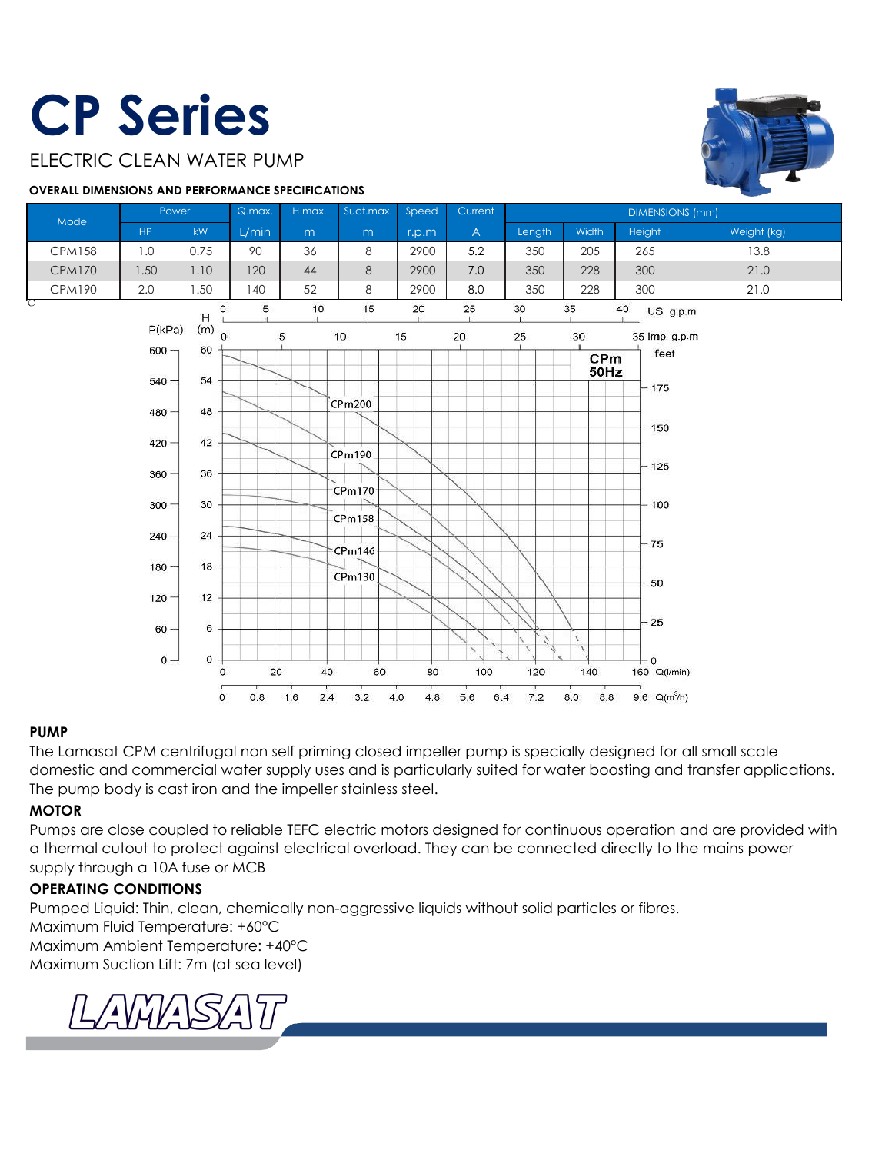## **CP Series**

#### ELECTRIC CLEAN WATER PUMP

#### **OVERALL DIMENSIONS AND PERFORMANCE SPECIFICATIONS**





#### **PUMP**

The Lamasat CPM centrifugal non self priming closed impeller pump is specially designed for all small scale domestic and commercial water supply uses and is particularly suited for water boosting and transfer applications. The pump body is cast iron and the impeller stainless steel.

#### **MOTOR**

Pumps are close coupled to reliable TEFC electric motors designed for continuous operation and are provided with a thermal cutout to protect against electrical overload. They can be connected directly to the mains power supply through a 10A fuse or MCB

#### **OPERATING CONDITIONS**

Pumped Liquid: Thin, clean, chemically non-aggressive liquids without solid particles or fibres.

Maximum Fluid Temperature: +60°C

Maximum Ambient Temperature: +40°C Maximum Suction Lift: 7m (at sea level)

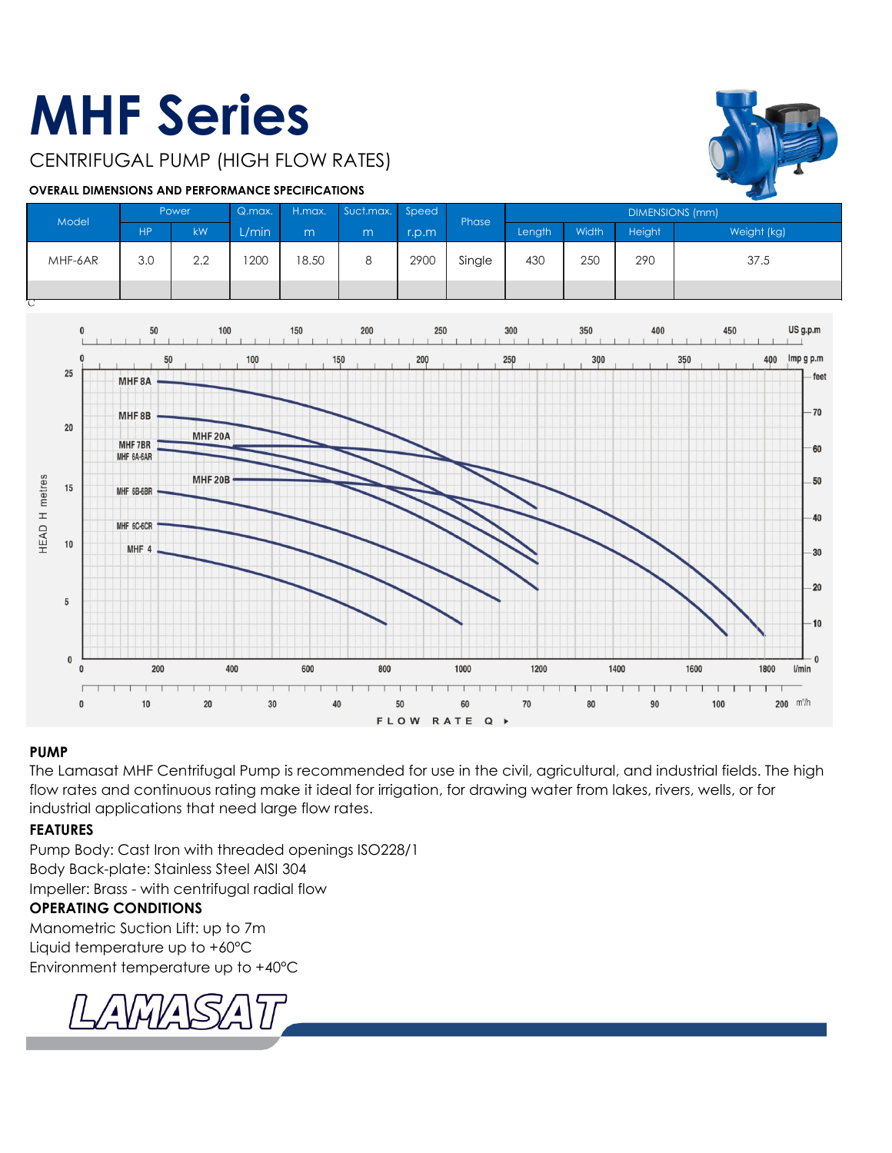### **MHF Series**

CENTRIFUGAL PUMP (HIGH FLOW RATES)

#### **OVERALL DIMENSIONS AND PERFORMANCE SPECIFICATIONS**



| Model   | Power     |     | Q.max. | H.max. | Suct.max. Speed |       | Phase  | <b>DIMENSIONS (mm)</b> |       |        |             |
|---------|-----------|-----|--------|--------|-----------------|-------|--------|------------------------|-------|--------|-------------|
|         | <b>HP</b> | kW  | L/min  | m      | m               | r.p.m |        | Length                 | Width | Height | Weight (kg) |
| MHF-6AR | 30<br>v.v | 2.2 | 1200   | 18.50  |                 | 2900  | Single | 430                    | 250   | 290    | 37.5        |
|         |           |     |        |        |                 |       |        |                        |       |        |             |



#### **PUMP**

The Lamasat MHF Centrifugal Pump is recommended for use in the civil, agricultural, and industrial fields. The high flow rates and continuous rating make it ideal for irrigation, for drawing water from lakes, rivers, wells, or for industrial applications that need large flow rates.

#### **FEATURES**

Pump Body: Cast Iron with threaded openings ISO228/1 Body Back-plate: Stainless Steel AISI 304 Impeller: Brass - with centrifugal radial flow

#### **OPERATING CONDITIONS**

Manometric Suction Lift: up to 7m Liquid temperature up to +60°C Environment temperature up to +40°C